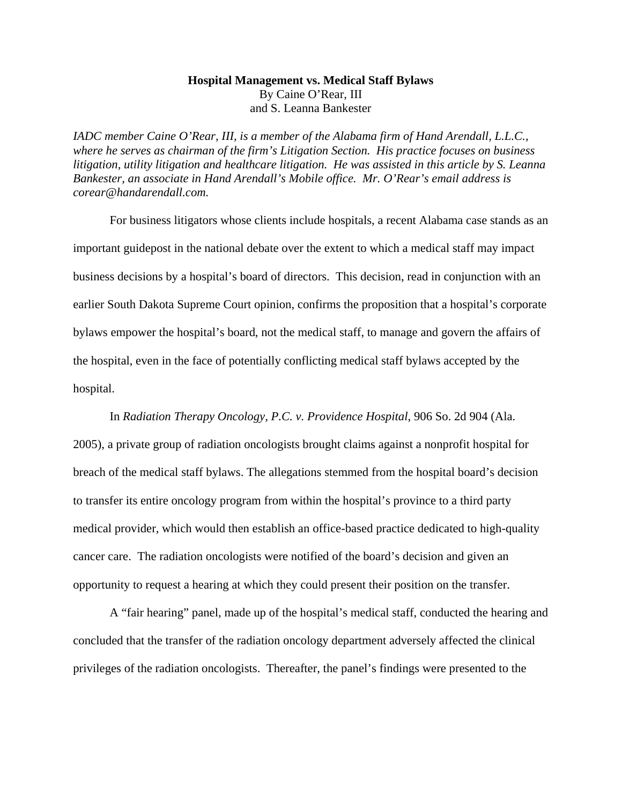## **Hospital Management vs. Medical Staff Bylaws**  By Caine O'Rear, III and S. Leanna Bankester

*IADC member Caine O'Rear, III, is a member of the Alabama firm of Hand Arendall, L.L.C., where he serves as chairman of the firm's Litigation Section. His practice focuses on business litigation, utility litigation and healthcare litigation. He was assisted in this article by S. Leanna Bankester, an associate in Hand Arendall's Mobile office. Mr. O'Rear's email address is corear@handarendall.com.* 

For business litigators whose clients include hospitals, a recent Alabama case stands as an important guidepost in the national debate over the extent to which a medical staff may impact business decisions by a hospital's board of directors. This decision, read in conjunction with an earlier South Dakota Supreme Court opinion, confirms the proposition that a hospital's corporate bylaws empower the hospital's board, not the medical staff, to manage and govern the affairs of the hospital, even in the face of potentially conflicting medical staff bylaws accepted by the hospital.

In *Radiation Therapy Oncology, P.C. v. Providence Hospital*, 906 So. 2d 904 (Ala. 2005), a private group of radiation oncologists brought claims against a nonprofit hospital for breach of the medical staff bylaws. The allegations stemmed from the hospital board's decision to transfer its entire oncology program from within the hospital's province to a third party medical provider, which would then establish an office-based practice dedicated to high-quality cancer care. The radiation oncologists were notified of the board's decision and given an opportunity to request a hearing at which they could present their position on the transfer.

A "fair hearing" panel, made up of the hospital's medical staff, conducted the hearing and concluded that the transfer of the radiation oncology department adversely affected the clinical privileges of the radiation oncologists. Thereafter, the panel's findings were presented to the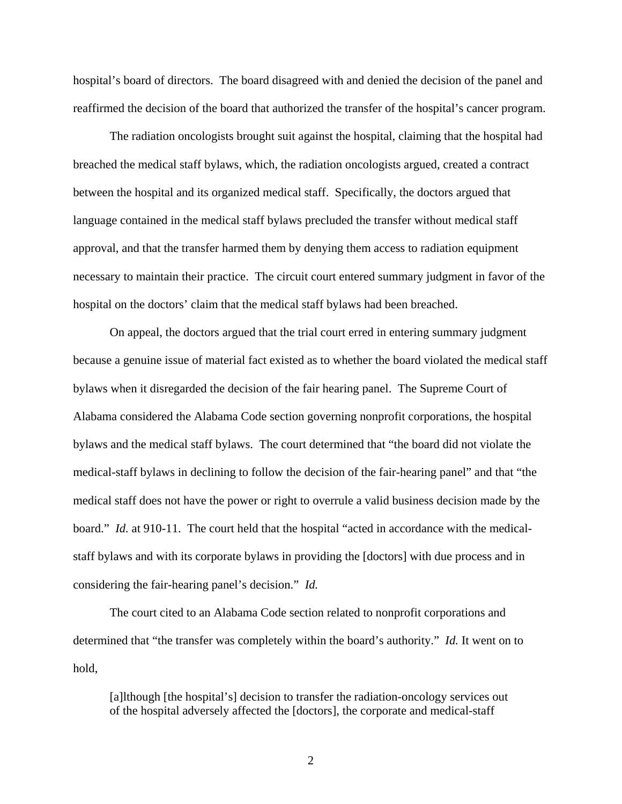hospital's board of directors. The board disagreed with and denied the decision of the panel and reaffirmed the decision of the board that authorized the transfer of the hospital's cancer program.

 The radiation oncologists brought suit against the hospital, claiming that the hospital had breached the medical staff bylaws, which, the radiation oncologists argued, created a contract between the hospital and its organized medical staff. Specifically, the doctors argued that language contained in the medical staff bylaws precluded the transfer without medical staff approval, and that the transfer harmed them by denying them access to radiation equipment necessary to maintain their practice. The circuit court entered summary judgment in favor of the hospital on the doctors' claim that the medical staff bylaws had been breached.

 On appeal, the doctors argued that the trial court erred in entering summary judgment because a genuine issue of material fact existed as to whether the board violated the medical staff bylaws when it disregarded the decision of the fair hearing panel. The Supreme Court of Alabama considered the Alabama Code section governing nonprofit corporations, the hospital bylaws and the medical staff bylaws. The court determined that "the board did not violate the medical-staff bylaws in declining to follow the decision of the fair-hearing panel" and that "the medical staff does not have the power or right to overrule a valid business decision made by the board." *Id.* at 910-11. The court held that the hospital "acted in accordance with the medicalstaff bylaws and with its corporate bylaws in providing the [doctors] with due process and in considering the fair-hearing panel's decision." *Id.*

 The court cited to an Alabama Code section related to nonprofit corporations and determined that "the transfer was completely within the board's authority." *Id.* It went on to hold,

[a]lthough [the hospital's] decision to transfer the radiation-oncology services out of the hospital adversely affected the [doctors], the corporate and medical-staff

2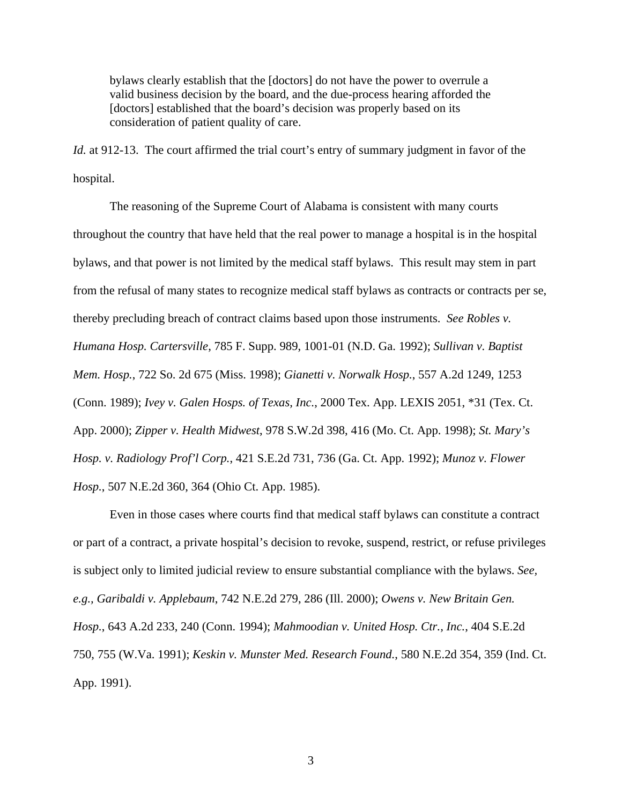bylaws clearly establish that the [doctors] do not have the power to overrule a valid business decision by the board, and the due-process hearing afforded the [doctors] established that the board's decision was properly based on its consideration of patient quality of care.

*Id.* at 912-13. The court affirmed the trial court's entry of summary judgment in favor of the hospital.

 The reasoning of the Supreme Court of Alabama is consistent with many courts throughout the country that have held that the real power to manage a hospital is in the hospital bylaws, and that power is not limited by the medical staff bylaws. This result may stem in part from the refusal of many states to recognize medical staff bylaws as contracts or contracts per se, thereby precluding breach of contract claims based upon those instruments. *See Robles v. Humana Hosp. Cartersville*, 785 F. Supp. 989, 1001-01 (N.D. Ga. 1992); *Sullivan v. Baptist Mem. Hosp.*, 722 So. 2d 675 (Miss. 1998); *Gianetti v. Norwalk Hosp.*, 557 A.2d 1249, 1253 (Conn. 1989); *Ivey v. Galen Hosps. of Texas, Inc.*, 2000 Tex. App. LEXIS 2051, \*31 (Tex. Ct. App. 2000); *Zipper v. Health Midwest*, 978 S.W.2d 398, 416 (Mo. Ct. App. 1998); *St. Mary's Hosp. v. Radiology Prof'l Corp.*, 421 S.E.2d 731, 736 (Ga. Ct. App. 1992); *Munoz v. Flower Hosp.*, 507 N.E.2d 360, 364 (Ohio Ct. App. 1985).

 Even in those cases where courts find that medical staff bylaws can constitute a contract or part of a contract, a private hospital's decision to revoke, suspend, restrict, or refuse privileges is subject only to limited judicial review to ensure substantial compliance with the bylaws. *See, e.g., Garibaldi v. Applebaum*, 742 N.E.2d 279, 286 (Ill. 2000); *Owens v. New Britain Gen. Hosp.*, 643 A.2d 233, 240 (Conn. 1994); *Mahmoodian v. United Hosp. Ctr., Inc.*, 404 S.E.2d 750, 755 (W.Va. 1991); *Keskin v. Munster Med. Research Found.*, 580 N.E.2d 354, 359 (Ind. Ct. App. 1991).

3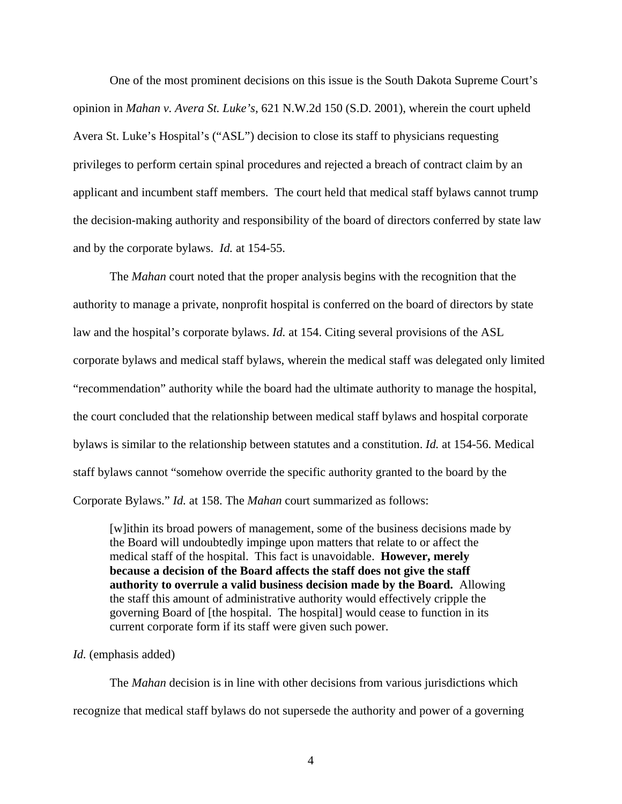One of the most prominent decisions on this issue is the South Dakota Supreme Court's opinion in *Mahan v. Avera St. Luke's*, 621 N.W.2d 150 (S.D. 2001), wherein the court upheld Avera St. Luke's Hospital's ("ASL") decision to close its staff to physicians requesting privileges to perform certain spinal procedures and rejected a breach of contract claim by an applicant and incumbent staff members. The court held that medical staff bylaws cannot trump the decision-making authority and responsibility of the board of directors conferred by state law and by the corporate bylaws. *Id.* at 154-55.

 The *Mahan* court noted that the proper analysis begins with the recognition that the authority to manage a private, nonprofit hospital is conferred on the board of directors by state law and the hospital's corporate bylaws. *Id.* at 154. Citing several provisions of the ASL corporate bylaws and medical staff bylaws, wherein the medical staff was delegated only limited "recommendation" authority while the board had the ultimate authority to manage the hospital, the court concluded that the relationship between medical staff bylaws and hospital corporate bylaws is similar to the relationship between statutes and a constitution. *Id.* at 154-56. Medical staff bylaws cannot "somehow override the specific authority granted to the board by the Corporate Bylaws." *Id.* at 158. The *Mahan* court summarized as follows:

[w]ithin its broad powers of management, some of the business decisions made by the Board will undoubtedly impinge upon matters that relate to or affect the medical staff of the hospital. This fact is unavoidable. **However, merely because a decision of the Board affects the staff does not give the staff authority to overrule a valid business decision made by the Board.** Allowing the staff this amount of administrative authority would effectively cripple the governing Board of [the hospital. The hospital] would cease to function in its current corporate form if its staff were given such power.

## *Id.* (emphasis added)

 The *Mahan* decision is in line with other decisions from various jurisdictions which recognize that medical staff bylaws do not supersede the authority and power of a governing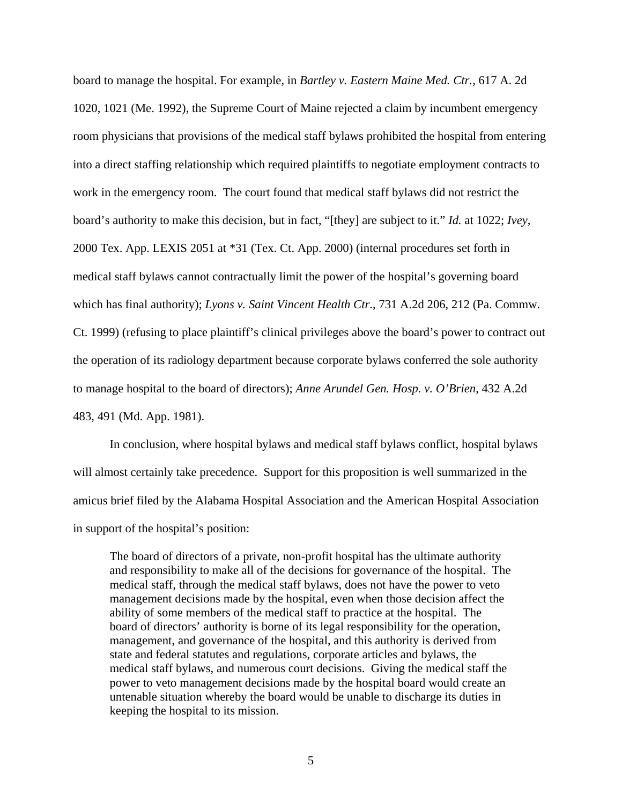board to manage the hospital. For example, in *Bartley v. Eastern Maine Med. Ctr.*, 617 A. 2d 1020, 1021 (Me. 1992), the Supreme Court of Maine rejected a claim by incumbent emergency room physicians that provisions of the medical staff bylaws prohibited the hospital from entering into a direct staffing relationship which required plaintiffs to negotiate employment contracts to work in the emergency room. The court found that medical staff bylaws did not restrict the board's authority to make this decision, but in fact, "[they] are subject to it." *Id.* at 1022; *Ivey*, 2000 Tex. App. LEXIS 2051 at \*31 (Tex. Ct. App. 2000) (internal procedures set forth in medical staff bylaws cannot contractually limit the power of the hospital's governing board which has final authority); *Lyons v. Saint Vincent Health Ctr*., 731 A.2d 206, 212 (Pa. Commw. Ct. 1999) (refusing to place plaintiff's clinical privileges above the board's power to contract out the operation of its radiology department because corporate bylaws conferred the sole authority to manage hospital to the board of directors); *Anne Arundel Gen. Hosp. v. O'Brien*, 432 A.2d 483, 491 (Md. App. 1981).

In conclusion, where hospital bylaws and medical staff bylaws conflict, hospital bylaws will almost certainly take precedence. Support for this proposition is well summarized in the amicus brief filed by the Alabama Hospital Association and the American Hospital Association in support of the hospital's position:

The board of directors of a private, non-profit hospital has the ultimate authority and responsibility to make all of the decisions for governance of the hospital. The medical staff, through the medical staff bylaws, does not have the power to veto management decisions made by the hospital, even when those decision affect the ability of some members of the medical staff to practice at the hospital. The board of directors' authority is borne of its legal responsibility for the operation, management, and governance of the hospital, and this authority is derived from state and federal statutes and regulations, corporate articles and bylaws, the medical staff bylaws, and numerous court decisions. Giving the medical staff the power to veto management decisions made by the hospital board would create an untenable situation whereby the board would be unable to discharge its duties in keeping the hospital to its mission.